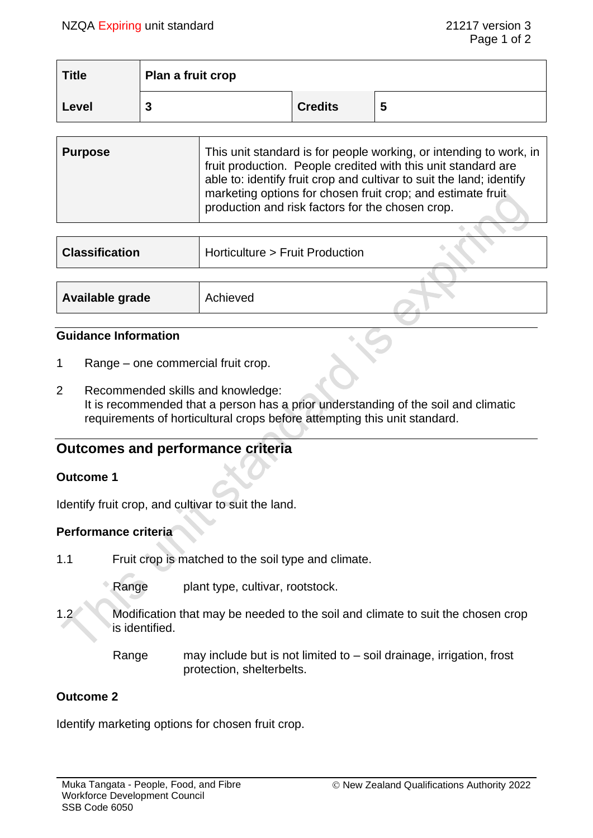$\bullet$  ,  $\bullet$  ,  $\bullet$ 

| <b>Title</b> | Plan a fruit crop |                |   |
|--------------|-------------------|----------------|---|
| Level        | ◠<br>υ            | <b>Credits</b> | 5 |

| <b>Purpose</b> | This unit standard is for people working, or intending to work, in<br>fruit production. People credited with this unit standard are<br>able to: identify fruit crop and cultivar to suit the land; identify<br>marketing options for chosen fruit crop; and estimate fruit<br>production and risk factors for the chosen crop. |
|----------------|--------------------------------------------------------------------------------------------------------------------------------------------------------------------------------------------------------------------------------------------------------------------------------------------------------------------------------|
|----------------|--------------------------------------------------------------------------------------------------------------------------------------------------------------------------------------------------------------------------------------------------------------------------------------------------------------------------------|

| <b>Classification</b> | Horticulture > Fruit Production |  |
|-----------------------|---------------------------------|--|
|                       |                                 |  |
| Available grade       | Achieved                        |  |

### **Guidance Information**

- 1 Range one commercial fruit crop.
- 2 Recommended skills and knowledge: It is recommended that a person has a prior understanding of the soil and climatic requirements of horticultural crops before attempting this unit standard.

# **Outcomes and performance criteria**

## **Outcome 1**

Identify fruit crop, and cultivar to suit the land.

## **Performance criteria**

- 1.1 Fruit crop is matched to the soil type and climate.
	- Range plant type, cultivar, rootstock.
- 1.2 Modification that may be needed to the soil and climate to suit the chosen crop is identified.
	- Range may include but is not limited to  $-$  soil drainage, irrigation, frost protection, shelterbelts.

## **Outcome 2**

Identify marketing options for chosen fruit crop.